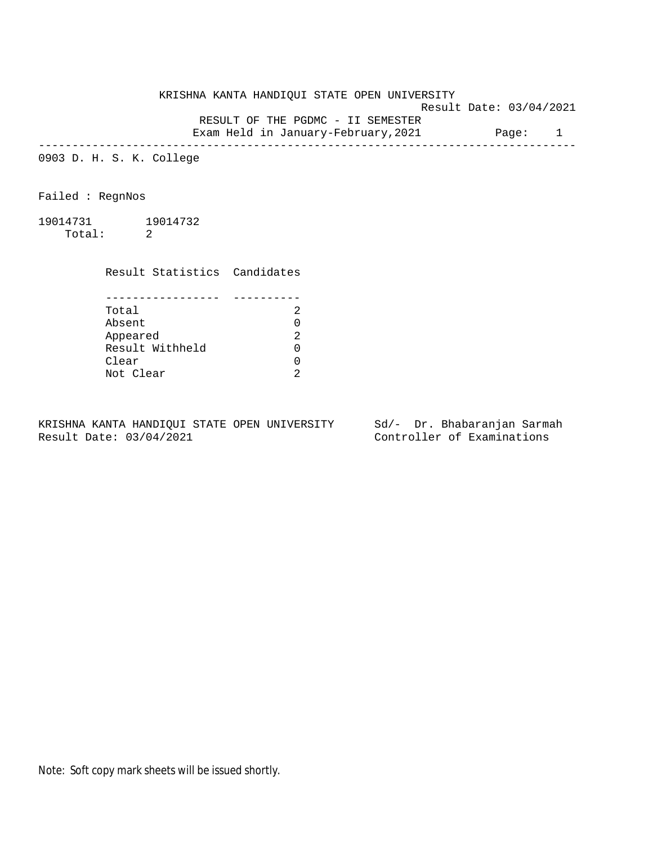KRISHNA KANTA HANDIQUI STATE OPEN UNIVERSITY Result Date: 03/04/2021 RESULT OF THE PGDMC - II SEMESTER

Exam Held in January-February, 2021 Page: 1 --------------------------------------------------------------------------------

0903 D. H. S. K. College

Failed : RegnNos

19014731 19014732 Total: 2

Result Statistics Candidates

| Total           |  |
|-----------------|--|
| Absent          |  |
| Appeared        |  |
| Result Withheld |  |
| Clear           |  |
| Not Clear       |  |

KRISHNA KANTA HANDIQUI STATE OPEN UNIVERSITY Sd/- Dr. Bhabaranjan Sarmah Result Date: 03/04/2021 Controller of Examinations

Note: Soft copy mark sheets will be issued shortly.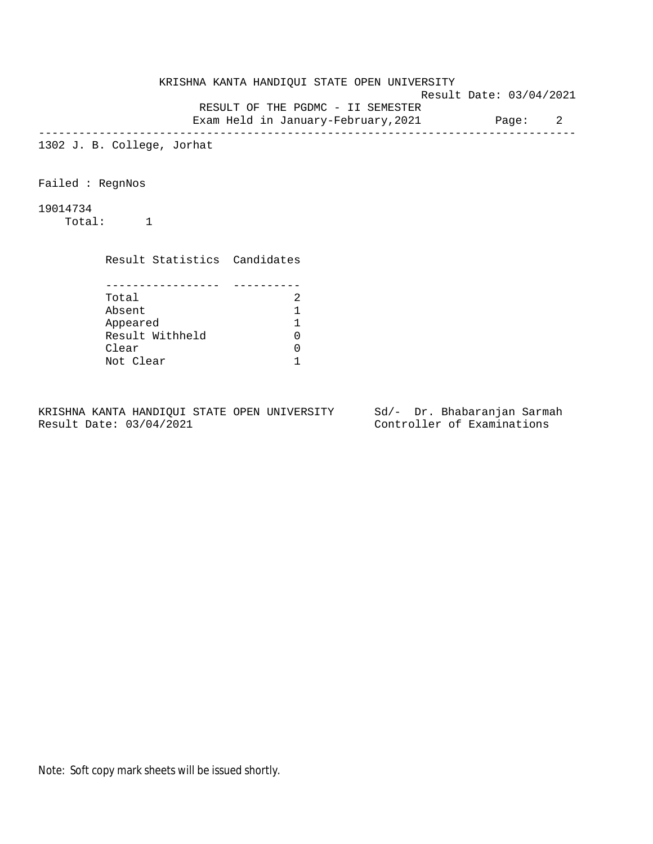KRISHNA KANTA HANDIQUI STATE OPEN UNIVERSITY Result Date: 03/04/2021 RESULT OF THE PGDMC - II SEMESTER Exam Held in January-February,2021 Page: 2 -------------------------------------------------------------------------------- 1302 J. B. College, Jorhat Failed : RegnNos 19014734 Total: 1 Result Statistics Candidates

| Total           |  |
|-----------------|--|
| Absent          |  |
| Appeared        |  |
| Result Withheld |  |
| Clear           |  |
| Not Clear       |  |

KRISHNA KANTA HANDIQUI STATE OPEN UNIVERSITY Sd/- Dr. Bhabaranjan Sarmah Result Date: 03/04/2021 Controller of Examinations

Note: Soft copy mark sheets will be issued shortly.